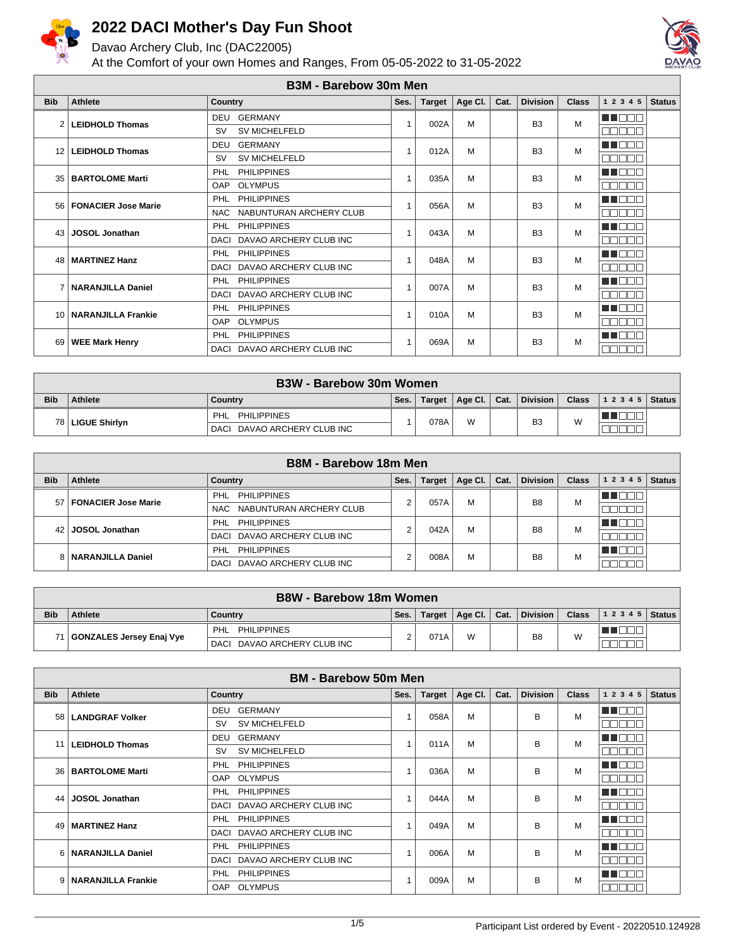

Davao Archery Club, Inc (DAC22005)



|                 | <b>B3M - Barebow 30m Men</b> |                                       |      |               |         |      |                 |              |                            |  |  |
|-----------------|------------------------------|---------------------------------------|------|---------------|---------|------|-----------------|--------------|----------------------------|--|--|
| <b>Bib</b>      | <b>Athlete</b>               | <b>Country</b>                        | Ses. | <b>Target</b> | Age CI. | Cat. | <b>Division</b> | <b>Class</b> | 1 2 3 4 5<br><b>Status</b> |  |  |
| $\mathcal{P}$   | <b>LEIDHOLD Thomas</b>       | <b>GERMANY</b><br><b>DEU</b>          | 1    | 002A          | M       |      | B <sub>3</sub>  | M            | TOO                        |  |  |
|                 |                              | SV MICHELFELD<br><b>SV</b>            |      |               |         |      |                 |              | Пſ<br>⊐                    |  |  |
| 12              | <b>LEIDHOLD Thomas</b>       | <b>GERMANY</b><br><b>DEU</b>          |      | 012A          | M       |      | B <sub>3</sub>  | M            | M ON                       |  |  |
|                 |                              | <b>SV MICHELFELD</b><br><b>SV</b>     |      |               |         |      |                 |              | mг<br>┓                    |  |  |
| 35              | <b>BARTOLOME Marti</b>       | <b>PHILIPPINES</b><br>PHL             |      | 035A          | M       |      | B <sub>3</sub>  | M            | a katika Ing               |  |  |
|                 |                              | <b>OAP</b><br><b>OLYMPUS</b>          |      |               |         |      |                 |              | Пľ<br>┒                    |  |  |
| 561             | <b>FONACIER Jose Marie</b>   | <b>PHILIPPINES</b><br>PHL             |      | 056A          | M       |      | B <sub>3</sub>  | M            | - 1 - 1 -                  |  |  |
|                 |                              | NABUNTURAN ARCHERY CLUB<br><b>NAC</b> |      |               |         |      |                 |              | <b>UUL</b><br>┓            |  |  |
| 43              | <b>JOSOL Jonathan</b>        | <b>PHILIPPINES</b><br>PHL             |      | 043A          | M       |      | B <sub>3</sub>  | M            | HI F                       |  |  |
|                 |                              | DAVAO ARCHERY CLUB INC<br>DACI        |      |               |         |      |                 |              | ПП                         |  |  |
| 48              | <b>MARTINEZ Hanz</b>         | <b>PHILIPPINES</b><br>PHL             |      | 048A          | M       |      | B <sub>3</sub>  | M            | 7 N N                      |  |  |
|                 |                              | DAVAO ARCHERY CLUB INC<br>DACI        |      |               |         |      |                 |              | mr                         |  |  |
|                 | <b>NARANJILLA Daniel</b>     | <b>PHILIPPINES</b><br><b>PHL</b>      |      | 007A          | M       |      | B <sub>3</sub>  | M            | u pr                       |  |  |
|                 |                              | DAVAO ARCHERY CLUB INC<br>DACI        |      |               |         |      |                 |              | Пſ<br>┐г                   |  |  |
| 10 <sup>1</sup> | <b>NARANJILLA Frankie</b>    | <b>PHILIPPINES</b><br>PHL             |      | 010A          | M       |      | B <sub>3</sub>  | M            | U NOT                      |  |  |
|                 |                              | <b>OLYMPUS</b><br>OAP                 |      |               |         |      |                 |              | nnni                       |  |  |
| 69              | <b>WEE Mark Henry</b>        | <b>PHILIPPINES</b><br>PHL             |      | 069A          | M       |      | B <sub>3</sub>  | M            | TI TIT                     |  |  |
|                 |                              | DAVAO ARCHERY CLUB INC<br><b>DACI</b> |      |               |         |      |                 |              | <b>REBEL</b>               |  |  |

|            | <b>B3W - Barebow 30m Women</b> |                             |      |        |                 |      |          |              |                    |   |  |  |
|------------|--------------------------------|-----------------------------|------|--------|-----------------|------|----------|--------------|--------------------|---|--|--|
| <b>Bib</b> | <b>Athlete</b>                 | Country                     | Ses. | Target | Age Cl. $\vert$ | Cat. | Division | <b>Class</b> | 1 2 3 4 5   Status |   |  |  |
|            | 78   LIGUE Shirlyn             | PHL PHILIPPINES             |      |        |                 | 078A | W        |              | B <sub>3</sub>     | W |  |  |
|            |                                | DACI DAVAO ARCHERY CLUB INC |      |        |                 |      |          |              |                    |   |  |  |

|            | <b>B8M - Barebow 18m Men</b> |                             |      |               |         |      |                 |              |                   |               |  |
|------------|------------------------------|-----------------------------|------|---------------|---------|------|-----------------|--------------|-------------------|---------------|--|
| <b>Bib</b> | Athlete                      | <b>Country</b>              | Ses. | <b>Target</b> | Age Cl. | Cat. | <b>Division</b> | <b>Class</b> | 1 2 3 4 5         | <b>Status</b> |  |
| 57         | T FONACIER Jose Marie        | <b>PHILIPPINES</b><br>PHL   | c    | 057A          | м       |      | B <sub>8</sub>  | M            | <u> Here i sv</u> |               |  |
|            |                              | NAC NABUNTURAN ARCHERY CLUB |      |               |         |      |                 |              |                   |               |  |
| 42         |                              | <b>PHILIPPINES</b><br>PHL   | c    | 042A          |         |      | B <sub>8</sub>  | M            |                   |               |  |
|            | <b>JOSOL Jonathan</b>        | DACI DAVAO ARCHERY CLUB INC |      |               | М       |      |                 |              |                   |               |  |
|            |                              | <b>PHILIPPINES</b><br>PHL   | c    | 008A          |         | М    | B <sub>8</sub>  | M            | man m             |               |  |
|            | 8   NARANJILLA Daniel        | DACI DAVAO ARCHERY CLUB INC |      |               |         |      |                 |              |                   |               |  |

|            | <b>B8W - Barebow 18m Women</b> |                                |      |        |                |   |                 |                |                |  |  |
|------------|--------------------------------|--------------------------------|------|--------|----------------|---|-----------------|----------------|----------------|--|--|
| <b>Bib</b> | Athlete                        | Countrv                        | Ses. | Target | Age Cl.   Cat. |   | <b>Division</b> | <b>Class</b>   | $12345$ Status |  |  |
|            |                                | <b>PHILIPPINES</b><br>PHL      |      | 071A   |                | W |                 | B <sub>8</sub> | W              |  |  |
|            | GONZALES Jersey Enaj Vye       | DAVAO ARCHERY CLUB INC<br>DACI |      |        |                |   |                 |                |                |  |  |

|            | <b>BM - Barebow 50m Men</b> |                                   |      |               |         |      |                 |              |            |               |  |  |
|------------|-----------------------------|-----------------------------------|------|---------------|---------|------|-----------------|--------------|------------|---------------|--|--|
| <b>Bib</b> | Athlete                     | <b>Country</b>                    | Ses. | <b>Target</b> | Age CI. | Cat. | <b>Division</b> | <b>Class</b> | 1 2 3 4 5  | <b>Status</b> |  |  |
| 58         | <b>LANDGRAF Volker</b>      | DEU GERMANY                       |      | 058A          | M       |      | B               | M            | M Ol       |               |  |  |
|            |                             | <b>SV MICHELFELD</b><br><b>SV</b> |      |               |         |      |                 |              | <b>NNN</b> |               |  |  |
| 11         | <b>LEIDHOLD Thomas</b>      | <b>GERMANY</b><br>DEU             |      | 011A          | M       |      | B               | M            | an an      |               |  |  |
|            |                             | <b>SV MICHELFELD</b><br>SV        |      |               |         |      |                 |              | NNN        |               |  |  |
| 36 l       | <b>BARTOLOME Marti</b>      | <b>PHILIPPINES</b><br>PHL         |      | 036A          | M       |      | B               | M            | TO         |               |  |  |
|            |                             | <b>OLYMPUS</b><br><b>OAP</b>      |      |               |         |      |                 |              | n di       |               |  |  |
| 44         | <b>JOSOL</b> Jonathan       | <b>PHILIPPINES</b><br>PHL         |      | 044A          | M       |      | B               | M            | A NAT      |               |  |  |
|            |                             | DAVAO ARCHERY CLUB INC<br>DACI    |      |               |         |      |                 |              | NNNI       |               |  |  |
| 49         | <b>MARTINEZ Hanz</b>        | <b>PHILIPPINES</b><br><b>PHL</b>  |      | 049A          | M       |      | B               | M            | N E E E    |               |  |  |
|            |                             | DAVAO ARCHERY CLUB INC<br>DACI    |      |               |         |      |                 |              | nnnı       |               |  |  |
| 6          | <b>NARANJILLA Daniel</b>    | <b>PHILIPPINES</b><br><b>PHL</b>  |      | 006A          | M       |      | в               | M            | u dini     |               |  |  |
|            |                             | DAVAO ARCHERY CLUB INC<br>DACI    |      |               |         |      |                 |              | NNNI       |               |  |  |
| 9          | <b>NARANJILLA Frankie</b>   | <b>PHILIPPINES</b><br>PHL         |      |               | 009A    | M    | в               | M            | VIDE       |               |  |  |
|            |                             | <b>OLYMPUS</b><br><b>OAP</b>      |      |               |         |      |                 |              | NNN        |               |  |  |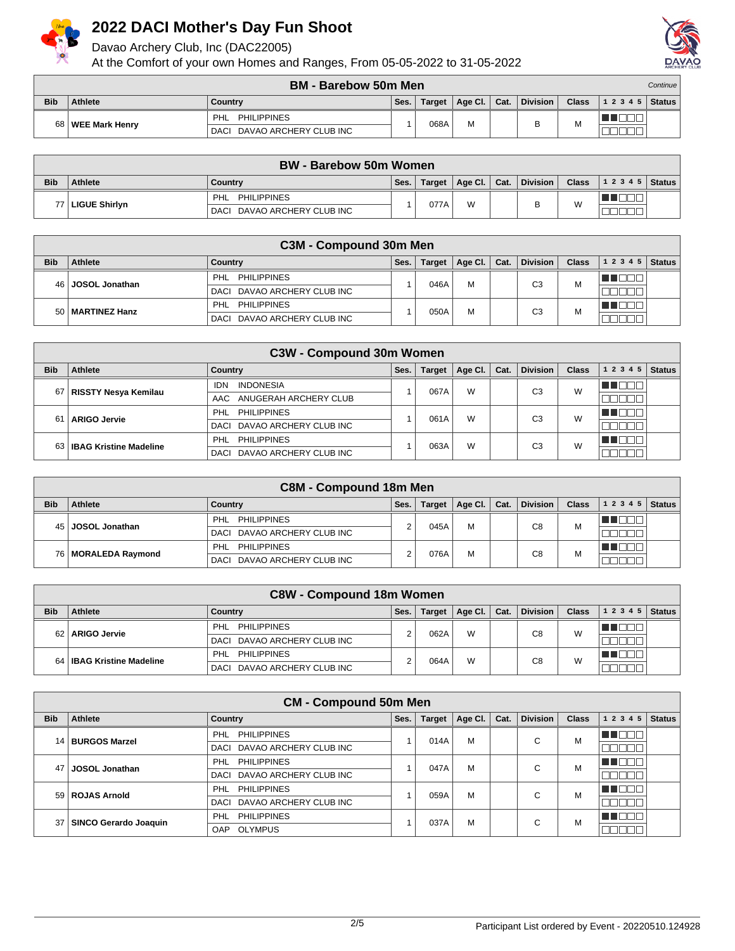

Davao Archery Club, Inc (DAC22005)



|            | BM - Barebow 50m Men |                                |      |        |         |      |                 |              |                | Continue |
|------------|----------------------|--------------------------------|------|--------|---------|------|-----------------|--------------|----------------|----------|
| <b>Bib</b> | Athlete              | Country                        | Ses. | Target | Age Cl. | Cat. | <b>Division</b> | <b>Class</b> | $12345$ Status |          |
| 68 l       | ∣ WEE Mark Henrv     | <b>PHILIPPINES</b><br>PHL      |      | 068A   | M       |      |                 |              |                |          |
|            |                      | DAVAO ARCHERY CLUB INC<br>DACI |      |        |         |      | ┕               | м            |                |          |

|            | <b>BW - Barebow 50m Women</b> |                             |      |      |                         |  |                        |  |                               |  |  |
|------------|-------------------------------|-----------------------------|------|------|-------------------------|--|------------------------|--|-------------------------------|--|--|
| <b>Bib</b> | <b>Athlete</b>                | Country                     | Ses. |      | Target   Age Cl.   Cat. |  | $\mid$ Division $\mid$ |  | <b>Class</b> $ 12345 $ Status |  |  |
|            | 77 LIGUE Shirlyn              | <b>PHILIPPINES</b><br>PHL   |      | 077A | W                       |  | R                      |  |                               |  |  |
|            |                               | DACI DAVAO ARCHERY CLUB INC |      |      |                         |  | ◡                      |  |                               |  |  |

|            | C3M - Compound 30m Men |                             |      |               |         |      |                 |              |           |               |
|------------|------------------------|-----------------------------|------|---------------|---------|------|-----------------|--------------|-----------|---------------|
| <b>Bib</b> | Athlete                | Country                     | Ses. | <b>Target</b> | Age Cl. | Cat. | <b>Division</b> | <b>Class</b> | 1 2 3 4 5 | <b>Status</b> |
|            | 46 JOSOL Jonathan      | PHL PHILIPPINES             |      |               | M       |      |                 | М            |           |               |
|            |                        | DACI DAVAO ARCHERY CLUB INC |      | 046A          |         |      | C3              |              |           |               |
|            | 50   MARTINEZ Hanz     | PHILIPPINES<br>' PHL        |      | 050A          | M       |      | C <sub>3</sub>  | M            |           |               |
|            |                        | DACI DAVAO ARCHERY CLUB INC |      |               |         |      |                 |              |           |               |

|            | <b>C3W - Compound 30m Women</b> |                                |      |               |         |      |                 |              |           |               |  |  |
|------------|---------------------------------|--------------------------------|------|---------------|---------|------|-----------------|--------------|-----------|---------------|--|--|
| <b>Bib</b> | Athlete                         | Country                        | Ses. | <b>Target</b> | Age Cl. | Cat. | <b>Division</b> | <b>Class</b> | 1 2 3 4 5 | <b>Status</b> |  |  |
| 67         |                                 | <b>INDONESIA</b><br>IDN        |      | 067A          | W       |      | C3              | W            |           |               |  |  |
|            | RISSTY Nesya Kemilau            | AAC ANUGERAH ARCHERY CLUB      |      |               |         |      |                 |              |           |               |  |  |
| 61         |                                 | PHL PHILIPPINES                |      |               |         |      | C3              | W            |           |               |  |  |
|            | <b>ARIGO Jervie</b>             | DACI DAVAO ARCHERY CLUB INC    |      | 061A          | W       |      |                 |              |           |               |  |  |
|            |                                 | PHILIPPINES<br>PHL             |      |               | W       | CЗ   | W               |              |           |               |  |  |
|            | 63   IBAG Kristine Madeline     | DAVAO ARCHERY CLUB INC<br>DACI |      | 063A          |         |      |                 |              |           |               |  |  |

|            | <b>C8M - Compound 18m Men</b> |                             |      |               |         |      |                 |              |                |  |  |  |
|------------|-------------------------------|-----------------------------|------|---------------|---------|------|-----------------|--------------|----------------|--|--|--|
| <b>Bib</b> | Athlete                       | Country                     | Ses. | <b>Target</b> | Age Cl. | Cat. | <b>Division</b> | <b>Class</b> | $12345$ Status |  |  |  |
|            |                               | <b>PHILIPPINES</b><br>PHL   |      |               | М       |      | C <sub>8</sub>  | м            | الطاط          |  |  |  |
|            | 45 JOSOL Jonathan             | DACI DAVAO ARCHERY CLUB INC |      | 045A          |         |      |                 |              |                |  |  |  |
|            | 76   MORALEDA Raymond         | PHL<br>PHILIPPINES          |      | 076A          | М       |      | C8              | M            |                |  |  |  |
|            |                               | DACI DAVAO ARCHERY CLUB INC |      |               |         |      |                 |              |                |  |  |  |

|            | <b>C8W - Compound 18m Women</b> |                                  |      |               |         |      |                 |              |       |               |  |
|------------|---------------------------------|----------------------------------|------|---------------|---------|------|-----------------|--------------|-------|---------------|--|
| <b>Bib</b> | Athlete                         | Country                          | Ses. | <b>Target</b> | Age Cl. | Cat. | <b>Division</b> | <b>Class</b> | 12345 | <b>Status</b> |  |
|            |                                 | <b>PHILIPPINES</b><br><b>PHL</b> |      |               | W       |      | C8              | W            |       |               |  |
| 621        | <b>ARIGO Jervie</b>             | DACI DAVAO ARCHERY CLUB INC      |      | 062A          |         |      |                 |              |       |               |  |
|            | 64   IBAG Kristine Madeline     | <b>PHILIPPINES</b><br>PHL        |      | 064A          | W       |      | C8              | W            |       |               |  |
|            |                                 | DAVAO ARCHERY CLUB INC<br>DACI   |      |               |         |      |                 |              |       |               |  |

|            |                              | <b>CM - Compound 50m Men</b>     |      |               |         |      |                 |              |           |               |
|------------|------------------------------|----------------------------------|------|---------------|---------|------|-----------------|--------------|-----------|---------------|
| <b>Bib</b> | <b>Athlete</b>               | <b>Country</b>                   | Ses. | <b>Target</b> | Age Cl. | Cat. | <b>Division</b> | <b>Class</b> | 1 2 3 4 5 | <b>Status</b> |
|            | 14   BURGOS Marzel           | <b>PHILIPPINES</b><br>PHL        |      | 014A          | M       |      | $\sim$          | M            | TIN       |               |
|            |                              | DACI DAVAO ARCHERY CLUB INC      |      |               |         |      | u               |              |           |               |
| 47         | <b>JOSOL Jonathan</b>        | <b>PHILIPPINES</b><br><b>PHL</b> |      | 047A          | M       |      | $\sim$          | M            | 88 L.H    |               |
|            |                              | DAVAO ARCHERY CLUB INC<br>DACI   |      |               |         |      | U               |              |           |               |
|            | 59 ROJAS Arnold              | <b>PHILIPPINES</b><br>PHL        |      | 059A          | M       |      | ⌒               | M            |           |               |
|            |                              | DAVAO ARCHERY CLUB INC<br>DACI   |      |               |         |      | U               |              |           |               |
| 37 I       | <b>SINCO Gerardo Joaquin</b> | PHL<br><b>PHILIPPINES</b>        |      |               | M       |      | $\sim$          | M            |           |               |
|            |                              | <b>OLYMPUS</b><br>OAP            |      | 037A          |         | u    |                 |              |           |               |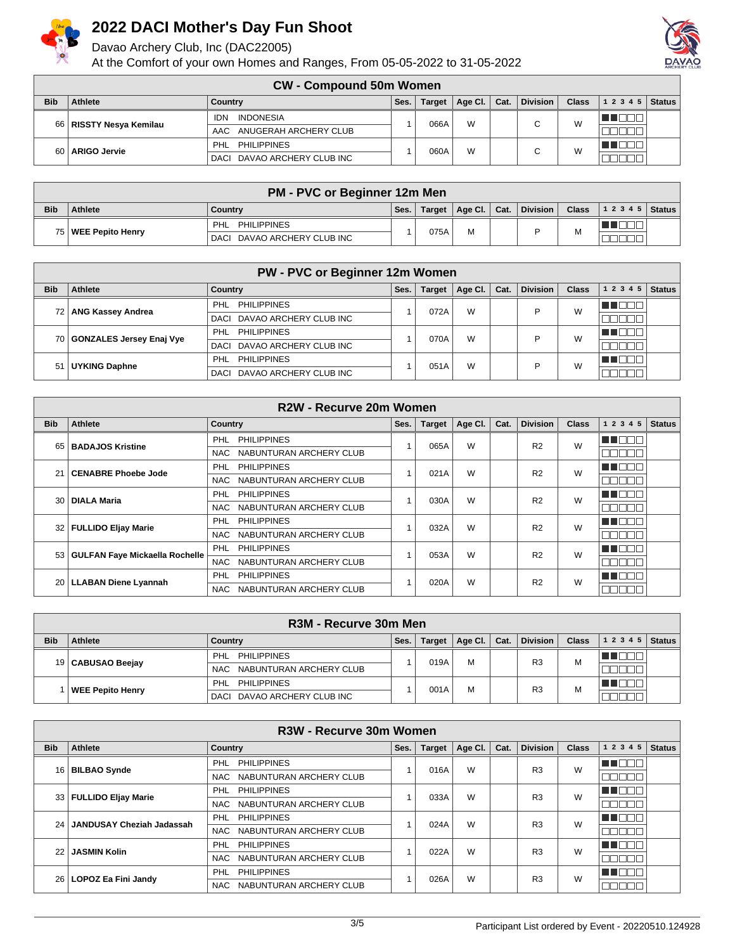

Davao Archery Club, Inc (DAC22005)



|            | <b>CW - Compound 50m Women</b> |                                |      |               |         |      |                 |              |                   |               |  |
|------------|--------------------------------|--------------------------------|------|---------------|---------|------|-----------------|--------------|-------------------|---------------|--|
| <b>Bib</b> | Athlete                        | Country                        | Ses. | <b>Target</b> | Age Cl. | Cat. | <b>Division</b> | <b>Class</b> | 1 2 3 4 5         | <b>Status</b> |  |
|            | 66   RISSTY Nesya Kemilau      | <b>INDONESIA</b><br><b>IDN</b> |      | 066A          | W       |      | $\sim$          | W            | <u> III Bibli</u> |               |  |
|            |                                | AAC ANUGERAH ARCHERY CLUB      |      |               |         |      |                 |              |                   |               |  |
| 60         |                                | <b>PHILIPPINES</b><br>PHL      |      | 060A          | W       |      |                 | W            | البالط            |               |  |
|            | <b>ARIGO Jervie</b>            | DACI DAVAO ARCHERY CLUB INC    |      |               |         |      |                 |              |                   |               |  |

|            | <b>PM - PVC or Beginner 12m Men</b> |                             |      |      |                         |  |                  |              |                |  |  |
|------------|-------------------------------------|-----------------------------|------|------|-------------------------|--|------------------|--------------|----------------|--|--|
| <b>Bib</b> | <b>Athlete</b>                      | Country                     | Ses. |      | Target   Age Cl.   Cat. |  | $ $ Division $ $ | $Class \mid$ | $12345$ Status |  |  |
|            |                                     | <b>PHILIPPINES</b><br>PHL   |      | 075A | м                       |  |                  |              |                |  |  |
|            | 75   WEE Pepito Henry               | DACI DAVAO ARCHERY CLUB INC |      |      |                         |  |                  |              |                |  |  |

|            | <b>PW - PVC or Beginner 12m Women</b> |                                |      |               |         |      |                 |              |              |               |  |
|------------|---------------------------------------|--------------------------------|------|---------------|---------|------|-----------------|--------------|--------------|---------------|--|
| <b>Bib</b> | Athlete                               | <b>Country</b>                 | Ses. | <b>Target</b> | Age Cl. | Cat. | <b>Division</b> | <b>Class</b> | 1 2 3 4 5    | <b>Status</b> |  |
|            | 72   ANG Kassey Andrea                | PHILIPPINES<br>PHL             |      | 072A          | W       |      |                 | W            | $\mathbf{H}$ |               |  |
|            |                                       | DACI DAVAO ARCHERY CLUB INC    |      |               |         |      |                 |              |              |               |  |
|            | 70 GONZALES Jersey Enaj Vye           | PHL PHILIPPINES                |      | 070A          | W       |      |                 | W            | - 11 - 11    |               |  |
|            |                                       | DACI DAVAO ARCHERY CLUB INC    |      |               |         |      |                 |              |              |               |  |
| 51         | <b>UYKING Daphne</b>                  | <b>PHILIPPINES</b><br>PHL      |      | 051A          | W       |      |                 | W            | H.           |               |  |
|            |                                       | DAVAO ARCHERY CLUB INC<br>DACI |      |               |         |      |                 |              |              |               |  |

|            |                                     | R <sub>2</sub> W - Recurve 20m Women  |      |               |         |      |                 |              |           |               |
|------------|-------------------------------------|---------------------------------------|------|---------------|---------|------|-----------------|--------------|-----------|---------------|
| <b>Bib</b> | <b>Athlete</b>                      | <b>Country</b>                        | Ses. | <b>Target</b> | Age Cl. | Cat. | <b>Division</b> | <b>Class</b> | 1 2 3 4 5 | <b>Status</b> |
|            | 65   BADAJOS Kristine               | <b>PHILIPPINES</b><br>PHL             |      | 065A          | W       |      | R <sub>2</sub>  | W            | 7 O O O   |               |
|            |                                     | NABUNTURAN ARCHERY CLUB<br>NAC        |      |               |         |      |                 |              |           |               |
| 21         | <b>CENABRE Phoebe Jode</b>          | <b>PHILIPPINES</b><br><b>PHL</b>      |      | 021A          | W       |      | R <sub>2</sub>  | W            | TNOL      |               |
|            |                                     | NAC NABUNTURAN ARCHERY CLUB           |      |               |         |      |                 |              |           |               |
|            | 30   DIALA Maria                    | <b>PHL</b><br><b>PHILIPPINES</b>      |      | 030A          | W       |      | R <sub>2</sub>  | W            | 88 I DI   |               |
|            |                                     | NABUNTURAN ARCHERY CLUB<br>NAC        |      |               |         |      |                 |              |           |               |
|            | 32   FULLIDO Eljay Marie            | <b>PHILIPPINES</b><br>PHL             |      | 032A          | W       |      | R <sub>2</sub>  | W            | TEN       |               |
|            |                                     | NAC NABUNTURAN ARCHERY CLUB           |      |               |         |      |                 |              |           |               |
|            | 53   GULFAN Faye Mickaella Rochelle | <b>PHL</b><br><b>PHILIPPINES</b>      |      | 053A          | W       |      | R <sub>2</sub>  | W            | H I N     |               |
|            |                                     | <b>NAC</b><br>NABUNTURAN ARCHERY CLUB |      |               |         |      |                 |              |           |               |
|            |                                     | <b>PHILIPPINES</b><br>PHL             |      | 020A          | W       |      | R <sub>2</sub>  | W            | n di      |               |
|            | 20   LLABAN Diene Lyannah           | NAC NABUNTURAN ARCHERY CLUB           |      |               |         |      |                 |              |           |               |

|            | R3M - Recurve 30m Men |                             |      |        |         |      |                 |              |       |               |
|------------|-----------------------|-----------------------------|------|--------|---------|------|-----------------|--------------|-------|---------------|
| <b>Bib</b> | Athlete               | Country                     | Ses. | Target | Age Cl. | Cat. | <b>Division</b> | <b>Class</b> | 12345 | <b>Status</b> |
|            |                       | PHILIPPINES<br><b>PHL</b>   |      | 019A   | M       |      | R <sub>3</sub>  | M            |       |               |
|            | 19   CABUSAO Beejay   | NAC NABUNTURAN ARCHERY CLUB |      |        |         |      |                 |              |       |               |
|            | WEE Pepito Henry      | <b>PHILIPPINES</b><br>PHL   |      | 001A   | м       |      | R <sub>3</sub>  | M            |       |               |
|            |                       | DACI DAVAO ARCHERY CLUB INC |      |        |         |      |                 |              |       |               |

|                 | R <sub>3</sub> W - Recurve 30m Women |                                |      |               |         |      |                 |              |           |               |  |  |
|-----------------|--------------------------------------|--------------------------------|------|---------------|---------|------|-----------------|--------------|-----------|---------------|--|--|
| <b>Bib</b>      | Athlete                              | <b>Country</b>                 | Ses. | <b>Target</b> | Age CI. | Cat. | <b>Division</b> | <b>Class</b> | 1 2 3 4 5 | <b>Status</b> |  |  |
|                 | 16   BILBAO Synde                    | <b>PHILIPPINES</b><br>PHL      |      | 016A          | W       |      | R <sub>3</sub>  | W            | H I F     |               |  |  |
|                 |                                      | NABUNTURAN ARCHERY CLUB<br>NAC |      |               |         |      |                 |              |           |               |  |  |
|                 | 33   FULLIDO Eljay Marie             | <b>PHILIPPINES</b><br>PHL      |      | 033A          | W       |      | R <sub>3</sub>  | W            | HH IT     |               |  |  |
|                 |                                      | NABUNTURAN ARCHERY CLUB<br>NAC |      |               |         |      |                 |              |           |               |  |  |
| 24              | JANDUSAY Cheziah Jadassah            | <b>PHILIPPINES</b><br>PHL      |      | 024A          | W       |      | R <sub>3</sub>  | W            | TEN       |               |  |  |
|                 |                                      | NABUNTURAN ARCHERY CLUB<br>NAC |      |               |         |      |                 |              |           |               |  |  |
| 22 <sub>1</sub> | <b>JASMIN Kolin</b>                  | PHL<br><b>PHILIPPINES</b>      |      | 022A          | W       |      | R <sub>3</sub>  | W            | U N       |               |  |  |
|                 |                                      | NABUNTURAN ARCHERY CLUB<br>NAC |      |               |         |      |                 |              |           |               |  |  |
|                 | 26   LOPOZ Ea Fini Jandy             | PHL<br><b>PHILIPPINES</b>      |      | 026A          | W       |      | R <sub>3</sub>  | W            | 88 I DI   |               |  |  |
|                 |                                      | NABUNTURAN ARCHERY CLUB<br>NAC |      |               |         |      |                 |              |           |               |  |  |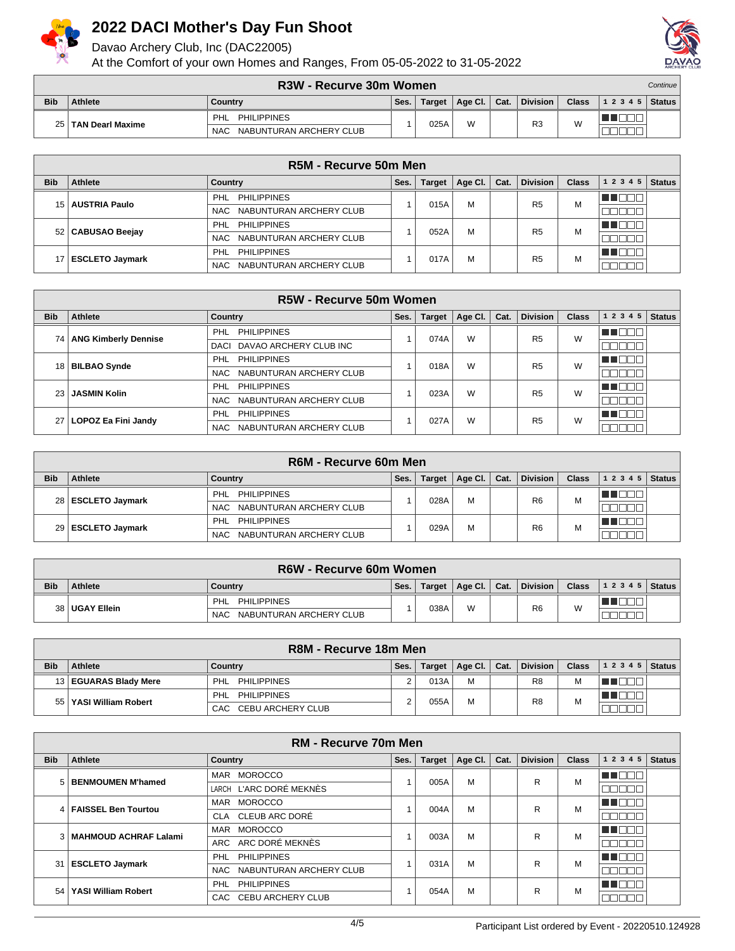

Davao Archery Club, Inc (DAC22005)



|            | <b>R3W - Recurve 30m Women</b> |                                       |      |        |         |      |                 |              |       | Continue |
|------------|--------------------------------|---------------------------------------|------|--------|---------|------|-----------------|--------------|-------|----------|
| <b>Bib</b> | <b>Athlete</b>                 | Country                               | Ses. | Target | Age Cl. | Cat. | <b>Division</b> | <b>Class</b> | 12345 | Status I |
| 25 I       | ∣ TAN Dearl Maxime             | <b>PHILIPPINES</b><br>PHL             |      | 025A   | W       |      | R <sub>3</sub>  | W            |       |          |
|            |                                | NABUNTURAN ARCHERY CLUB<br><b>NAC</b> |      |        |         |      |                 |              |       |          |

|            |                      | R5M - Recurve 50m Men          |      |        |                 |      |                 |              |       |               |
|------------|----------------------|--------------------------------|------|--------|-----------------|------|-----------------|--------------|-------|---------------|
| <b>Bib</b> | Athlete              | Country                        | Ses. | Target | Age Cl. $\vert$ | Cat. | <b>Division</b> | <b>Class</b> | 12345 | <b>Status</b> |
|            | 15   AUSTRIA Paulo   | <b>PHILIPPINES</b><br>PHL      |      | 015A   | M               |      | R <sub>5</sub>  | М            |       |               |
|            |                      | NAC NABUNTURAN ARCHERY CLUB    |      |        |                 |      |                 |              |       |               |
|            | 52   CABUSAO Beejay  | <b>PHILIPPINES</b><br>PHL      |      | 052A   | M               |      | R <sub>5</sub>  | M            |       |               |
|            |                      | NAC NABUNTURAN ARCHERY CLUB    |      |        |                 |      |                 |              |       |               |
|            | 17   ESCLETO Jaymark | <b>PHILIPPINES</b><br>PHL      |      | 017A   | М               |      | R <sub>5</sub>  | M            |       |               |
|            |                      | NABUNTURAN ARCHERY CLUB<br>NAC |      |        |                 |      |                 |              |       |               |

|            |                             | R5W - Recurve 50m Women          |      |               |         |      |                 |              |           |               |
|------------|-----------------------------|----------------------------------|------|---------------|---------|------|-----------------|--------------|-----------|---------------|
| <b>Bib</b> | Athlete                     | Country                          | Ses. | <b>Target</b> | Age Cl. | Cat. | <b>Division</b> | <b>Class</b> | 1 2 3 4 5 | <b>Status</b> |
| 74 I       | <b>ANG Kimberly Dennise</b> | <b>PHILIPPINES</b><br><b>PHL</b> |      | 074A          | W       |      | R <sub>5</sub>  | W            | N DE L    |               |
|            |                             | DACI DAVAO ARCHERY CLUB INC      |      |               |         |      |                 |              | الماليات  |               |
|            | 18   BILBAO Synde           | <b>PHILIPPINES</b><br><b>PHL</b> |      | 018A          | W       |      | R <sub>5</sub>  | W            | n de l    |               |
|            |                             | NAC NABUNTURAN ARCHERY CLUB      |      |               |         |      |                 |              | 3000L     |               |
| 23 L       | <b>JASMIN Kolin</b>         | <b>PHILIPPINES</b><br><b>PHL</b> |      | 023A          | W       |      | R <sub>5</sub>  | W            | THEEL     |               |
|            |                             | NABUNTURAN ARCHERY CLUB<br>NAC   |      |               |         |      |                 |              | 700 D D   |               |
|            | 27   LOPOZ Ea Fini Jandy    | <b>PHILIPPINES</b><br>PHL        |      | 027A          | W       |      | R <sub>5</sub>  | W            | HE NOT    |               |
|            |                             | NABUNTURAN ARCHERY CLUB<br>NAC   |      |               |         |      |                 |              |           |               |

|            |                      | R6M - Recurve 60m Men          |      |               |         |      |                 |              |           |               |
|------------|----------------------|--------------------------------|------|---------------|---------|------|-----------------|--------------|-----------|---------------|
| <b>Bib</b> | Athlete              | Country                        | Ses. | <b>Target</b> | Age Cl. | Cat. | <b>Division</b> | <b>Class</b> | 1 2 3 4 5 | <b>Status</b> |
|            | 28   ESCLETO Jaymark | PHILIPPINES<br><b>PHL</b>      |      | 028A          | М       |      | R <sub>6</sub>  | M            |           |               |
|            |                      | NAC NABUNTURAN ARCHERY CLUB    |      |               |         |      |                 |              |           |               |
|            | 29 ESCLETO Jaymark   | PHILIPPINES<br>PHL             |      | 029A          | м       |      | R <sub>6</sub>  | M            |           |               |
|            |                      | NABUNTURAN ARCHERY CLUB<br>NAC |      |               |         |      |                 |              |           |               |

|            | R6W - Recurve 60m Women |                                 |      |        |                |  |                 |              |                    |  |  |  |
|------------|-------------------------|---------------------------------|------|--------|----------------|--|-----------------|--------------|--------------------|--|--|--|
| <b>Bib</b> | Athlete                 | Country                         | Ses. | Target | Age Cl.   Cat. |  | <b>Division</b> | <b>Class</b> | 1 2 3 4 5   Status |  |  |  |
|            | 38 UGAY Ellein          | <b>PHILIPPINES</b><br>PHL       |      | 038A   | W              |  | R <sub>6</sub>  | W            |                    |  |  |  |
|            |                         | NABUNTURAN ARCHERY CLUB<br>NAC. |      |        |                |  |                 |              |                    |  |  |  |

|            | R8M - Recurve 18m Men   |                           |      |        |                 |      |                 |              |                |  |  |
|------------|-------------------------|---------------------------|------|--------|-----------------|------|-----------------|--------------|----------------|--|--|
| <b>Bib</b> | Athlete                 | Country                   | Ses. | Target | $ $ Age Cl. $ $ | Cat. | <b>Division</b> | <b>Class</b> | $12345$ Status |  |  |
|            | 13   EGUARAS Blady Mere | PHL<br><b>PHILIPPINES</b> |      | 013A   | M               |      | R8              | м            |                |  |  |
| 551        | YASI William Robert     | PHL<br><b>PHILIPPINES</b> | ົ    | 055A   | M               |      | R <sub>8</sub>  | М            |                |  |  |
|            |                         | CAC CEBU ARCHERY CLUB     |      |        |                 |      |                 |              |                |  |  |

| <b>RM - Recurve 70m Men</b> |                           |                                |      |               |         |      |                 |              |                          |               |
|-----------------------------|---------------------------|--------------------------------|------|---------------|---------|------|-----------------|--------------|--------------------------|---------------|
| <b>Bib</b>                  | Athlete                   | Country                        | Ses. | <b>Target</b> | Age Cl. | Cat. | <b>Division</b> | <b>Class</b> | 1 2 3 4 5                | <b>Status</b> |
|                             | 5 BENMOUMEN M'hamed       | <b>MOROCCO</b><br><b>MAR</b>   |      | 005A          | M       |      | R               | M            | 11 E E I                 |               |
|                             |                           | LARCH L'ARC DORÉ MEKNÈS        |      |               |         |      |                 |              |                          |               |
|                             | 4   FAISSEL Ben Tourtou   | <b>MOROCCO</b><br>MAR          |      | 004A          | M       |      | R               | M            | u nor                    |               |
|                             |                           | CLEUB ARC DORÉ<br><b>CLA</b>   |      |               |         |      |                 |              | mmr<br>חר                |               |
|                             | 3   MAHMOUD ACHRAF Lalami | MAR<br><b>MOROCCO</b>          |      | 003A          | M       |      | R               | M            | n an am                  |               |
|                             |                           | ARC ARC DORÉ MEKNÈS            |      |               |         |      |                 |              | ПГ<br>- III.             |               |
| 31                          | <b>ESCLETO Jaymark</b>    | <b>PHILIPPINES</b><br>PHL      |      | 031A          | M       |      | R               | M            | n an an S                |               |
|                             |                           | NABUNTURAN ARCHERY CLUB<br>NAC |      |               |         |      |                 |              | ורורור                   |               |
| 54                          | YASI William Robert       | <b>PHILIPPINES</b><br>PHL      |      | 054A          | M       |      | R               | M            | un de la provincia dell' |               |
|                             |                           | CAC CEBU ARCHERY CLUB          |      |               |         |      |                 |              | nnnn                     |               |